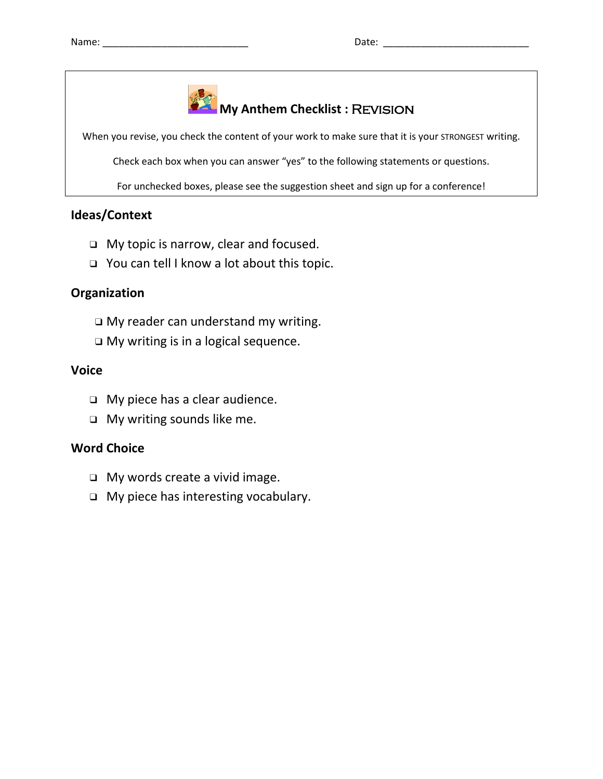

## **My Anthem Checklist :** Revision

When you revise, you check the content of your work to make sure that it is your STRONGEST writing.

Check each box when you can answer "yes" to the following statements or questions.

For unchecked boxes, please see the suggestion sheet and sign up for a conference!

#### **Ideas/Context**

- ❑ My topic is narrow, clear and focused.
- ❑ You can tell I know a lot about this topic.

#### **Organization**

- ❑ My reader can understand my writing.
- ❑ My writing is in a logical sequence.

#### **Voice**

- ❑ My piece has a clear audience.
- ❑ My writing sounds like me.

#### **Word Choice**

- ❑ My words create a vivid image.
- ❑ My piece has interesting vocabulary.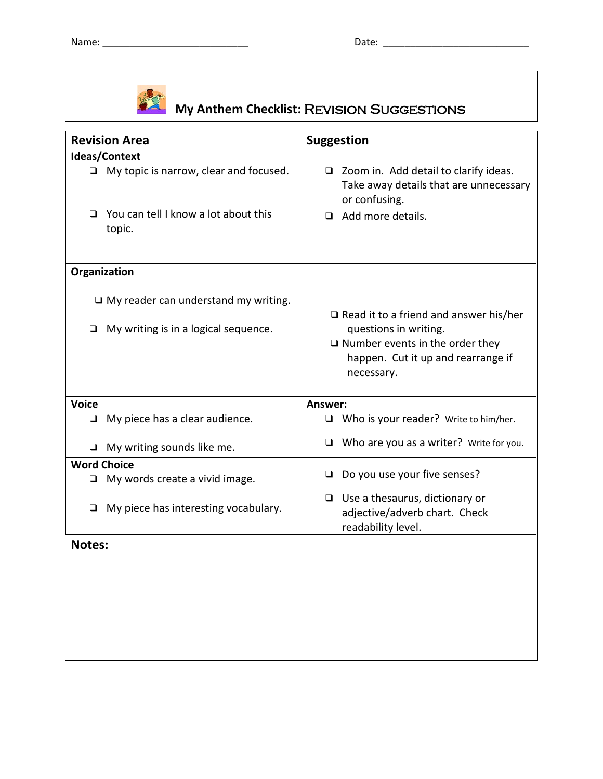

**My Anthem Checklist:** Revision Suggestions

| <b>Revision Area</b>                                                                                        | <b>Suggestion</b>                                                                                                                                                    |
|-------------------------------------------------------------------------------------------------------------|----------------------------------------------------------------------------------------------------------------------------------------------------------------------|
| Ideas/Context                                                                                               |                                                                                                                                                                      |
| $\Box$ My topic is narrow, clear and focused.<br>You can tell I know a lot about this<br><b>□</b><br>topic. | $\Box$ Zoom in. Add detail to clarify ideas.<br>Take away details that are unnecessary<br>or confusing.<br>$\Box$ Add more details.                                  |
| Organization                                                                                                |                                                                                                                                                                      |
| □ My reader can understand my writing.<br>My writing is in a logical sequence.<br>Q.                        | $\Box$ Read it to a friend and answer his/her<br>questions in writing.<br>$\Box$ Number events in the order they<br>happen. Cut it up and rearrange if<br>necessary. |
| <b>Voice</b>                                                                                                | Answer:                                                                                                                                                              |
| My piece has a clear audience.<br>❏                                                                         | $\Box$ Who is your reader? Write to him/her.                                                                                                                         |
| $\Box$ My writing sounds like me.                                                                           | Who are you as a writer? Write for you.<br>❏                                                                                                                         |
| <b>Word Choice</b><br>My words create a vivid image.<br>$\Box$                                              | Do you use your five senses?<br>Q.                                                                                                                                   |
| My piece has interesting vocabulary.<br>$\Box$                                                              | $\Box$ Use a thesaurus, dictionary or<br>adjective/adverb chart. Check<br>readability level.                                                                         |
| Notes:                                                                                                      |                                                                                                                                                                      |
|                                                                                                             |                                                                                                                                                                      |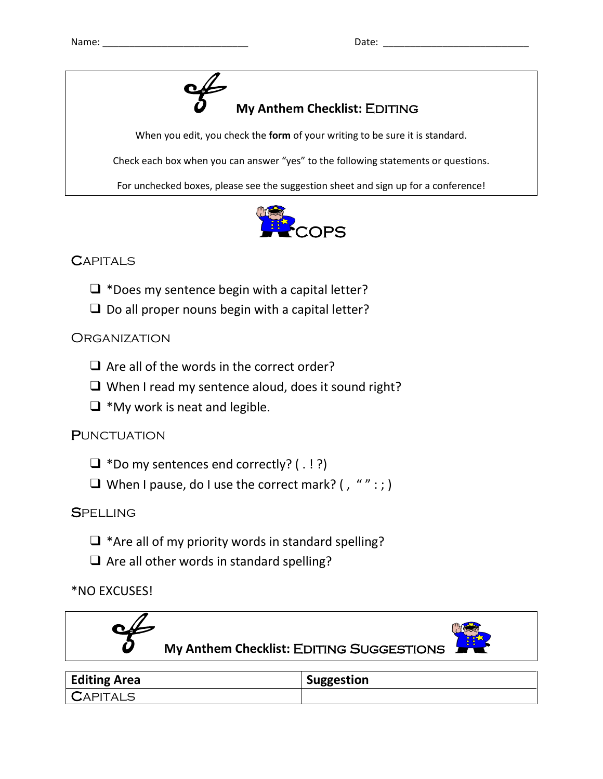# **My Anthem Checklist: EDITING**

When you edit, you check the **form** of your writing to be sure it is standard.

Check each box when you can answer "yes" to the following statements or questions.

For unchecked boxes, please see the suggestion sheet and sign up for a conference!



### **CAPITALS**

- ❑ \*Does my sentence begin with a capital letter?
- $\square$  Do all proper nouns begin with a capital letter?

#### **ORGANIZATION**

- $\Box$  Are all of the words in the correct order?
- ❑ When I read my sentence aloud, does it sound right?
- ❑ \*My work is neat and legible.

#### **PUNCTUATION**

- $\Box$  \*Do my sentences end correctly? (.!?)
- $\Box$  When I pause, do I use the correct mark? (, "":;)

#### **SPELLING**

- $\Box$  \*Are all of my priority words in standard spelling?
- □ Are all other words in standard spelling?

#### \*NO EXCUSES!



| Editing Area    | <b>Suggestion</b> |
|-----------------|-------------------|
| <b>CAPITALS</b> |                   |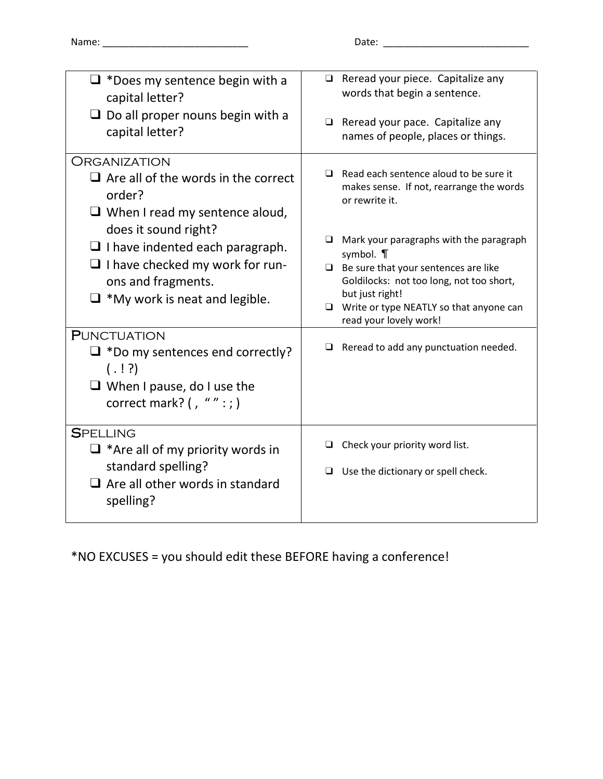| $\Box$ *Does my sentence begin with a<br>capital letter?<br>$\Box$ Do all proper nouns begin with a<br>capital letter?                                                 | Reread your piece. Capitalize any<br>$\Box$<br>words that begin a sentence.<br>Reread your pace. Capitalize any<br>$\Box$<br>names of people, places or things.                                                                                      |
|------------------------------------------------------------------------------------------------------------------------------------------------------------------------|------------------------------------------------------------------------------------------------------------------------------------------------------------------------------------------------------------------------------------------------------|
|                                                                                                                                                                        |                                                                                                                                                                                                                                                      |
| <b>ORGANIZATION</b><br>$\Box$ Are all of the words in the correct<br>order?<br>$\Box$ When I read my sentence aloud,                                                   | Read each sentence aloud to be sure it<br>◻<br>makes sense. If not, rearrange the words<br>or rewrite it.                                                                                                                                            |
| does it sound right?<br>$\Box$ I have indented each paragraph.<br>$\Box$ I have checked my work for run-<br>ons and fragments.<br>$\Box$ *My work is neat and legible. | Mark your paragraphs with the paragraph<br>Q<br>symbol. ¶<br>Be sure that your sentences are like<br>$\Box$<br>Goldilocks: not too long, not too short,<br>but just right!<br>Write or type NEATLY so that anyone can<br>□<br>read your lovely work! |
| <b>PUNCTUATION</b><br>$\Box$ *Do my sentences end correctly?<br>(. ! ?)<br>$\Box$ When I pause, do I use the<br>correct mark? $($ , "":;)                              | Reread to add any punctuation needed.<br>⊔                                                                                                                                                                                                           |
| <b>SPELLING</b><br>$\Box$ *Are all of my priority words in<br>standard spelling?<br>$\Box$ Are all other words in standard<br>spelling?                                | Check your priority word list.<br>u<br>Use the dictionary or spell check.<br>❏                                                                                                                                                                       |

\*NO EXCUSES = you should edit these BEFORE having a conference!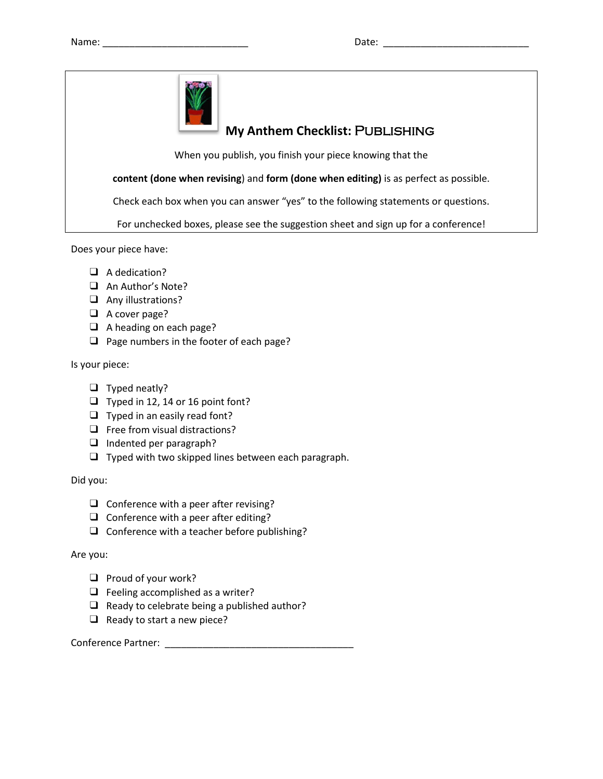

#### **My Anthem Checklist: PUBLISHING**

When you publish, you finish your piece knowing that the

**content (done when revising**) and **form (done when editing)** is as perfect as possible.

Check each box when you can answer "yes" to the following statements or questions.

For unchecked boxes, please see the suggestion sheet and sign up for a conference!

Does your piece have:

- ❑ A dedication?
- ❑ An Author's Note?
- ❑ Any illustrations?
- ❑ A cover page?
- ❑ A heading on each page?
- ❑ Page numbers in the footer of each page?

Is your piece:

- ❑ Typed neatly?
- ❑ Typed in 12, 14 or 16 point font?
- ❑ Typed in an easily read font?
- ❑ Free from visual distractions?
- ❑ Indented per paragraph?
- ❑ Typed with two skipped lines between each paragraph.

Did you:

- ❑ Conference with a peer after revising?
- ❑ Conference with a peer after editing?
- ❑ Conference with a teacher before publishing?

#### Are you:

- ❑ Proud of your work?
- ❑ Feeling accomplished as a writer?
- $\Box$  Ready to celebrate being a published author?
- ❑ Ready to start a new piece?

Conference Partner: \_\_\_\_\_\_\_\_\_\_\_\_\_\_\_\_\_\_\_\_\_\_\_\_\_\_\_\_\_\_\_\_\_\_\_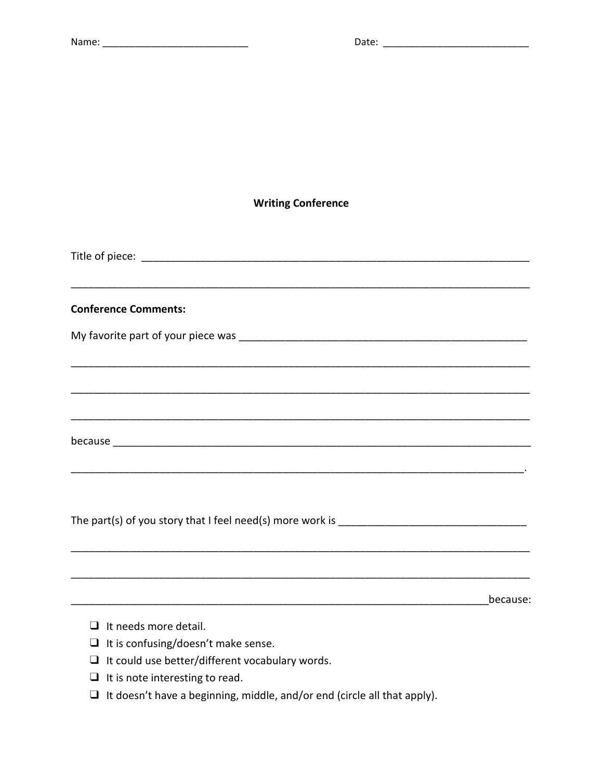| <b>Writing Conference</b>                                                     |          |  |
|-------------------------------------------------------------------------------|----------|--|
|                                                                               |          |  |
|                                                                               |          |  |
| <b>Conference Comments:</b>                                                   |          |  |
|                                                                               |          |  |
|                                                                               |          |  |
|                                                                               |          |  |
|                                                                               |          |  |
|                                                                               |          |  |
|                                                                               |          |  |
|                                                                               |          |  |
|                                                                               |          |  |
|                                                                               |          |  |
|                                                                               | because: |  |
| $\Box$ It needs more detail.                                                  |          |  |
| $\Box$ It is confusing/doesn't make sense.                                    |          |  |
| It could use better/different vocabulary words.<br>$\Box$                     |          |  |
| It is note interesting to read.<br>$\Box$                                     |          |  |
| It doesn't have a beginning, middle, and/or end (circle all that apply).<br>Ч |          |  |